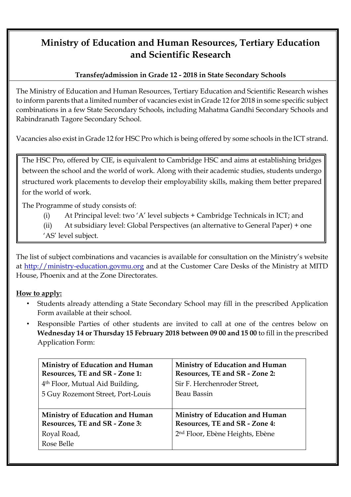# **Ministry of Education and Human Resources, Tertiary Education and Scientific Research**

## **Transfer/admission in Grade 12 - 2018 in State Secondary Schools**

The Ministry of Education and Human Resources, Tertiary Education and Scientific Research wishes to inform parents that a limited number of vacancies exist in Grade 12 for 2018 in some specific subject combinations in a few State Secondary Schools, including Mahatma Gandhi Secondary Schools and Rabindranath Tagore Secondary School.

Vacancies also exist in Grade 12 for HSC Pro which is being offered by some schools in the ICT strand.

The HSC Pro, offered by CIE, is equivalent to Cambridge HSC and aims at establishing bridges between the school and the world of work. Along with their academic studies, students undergo structured work placements to develop their employability skills, making them better prepared for the world of work.

The Programme of study consists of:

- (i) At Principal level: two 'A' level subjects + Cambridge Technicals in ICT; and
- (ii) At subsidiary level: Global Perspectives (an alternative to General Paper) + one
- 'AS' level subject.

The list of subject combinations and vacancies is available for consultation on the Ministry's website at [http://ministry-education.govmu.org](http://ministry-education.govmu.org/) [a](http://ministry-education.govmu.org/)nd at the Customer Care Desks of the Ministry at MITD House, Phoenix and at the Zone Directorates.

## **How to apply:**

- Students already attending a State Secondary School may fill in the prescribed Application Form available at their school.
- Responsible Parties of other students are invited to call at one of the centres below on **Wednesday 14 or Thursday 15 February 2018 between 09 00 and 15 00** to fill in the prescribed Application Form:

| <b>Ministry of Education and Human</b>                                                                | <b>Ministry of Education and Human</b>                                                                           |
|-------------------------------------------------------------------------------------------------------|------------------------------------------------------------------------------------------------------------------|
| Resources, TE and SR - Zone 1:                                                                        | Resources, TE and SR - Zone 2:                                                                                   |
| 4 <sup>th</sup> Floor, Mutual Aid Building,                                                           | Sir F. Herchenroder Street,                                                                                      |
| 5 Guy Rozemont Street, Port-Louis                                                                     | Beau Bassin                                                                                                      |
| <b>Ministry of Education and Human</b><br>Resources, TE and SR - Zone 3:<br>Royal Road,<br>Rose Belle | Ministry of Education and Human<br>Resources, TE and SR - Zone 4:<br>2 <sup>nd</sup> Floor, Ebène Heights, Ebène |